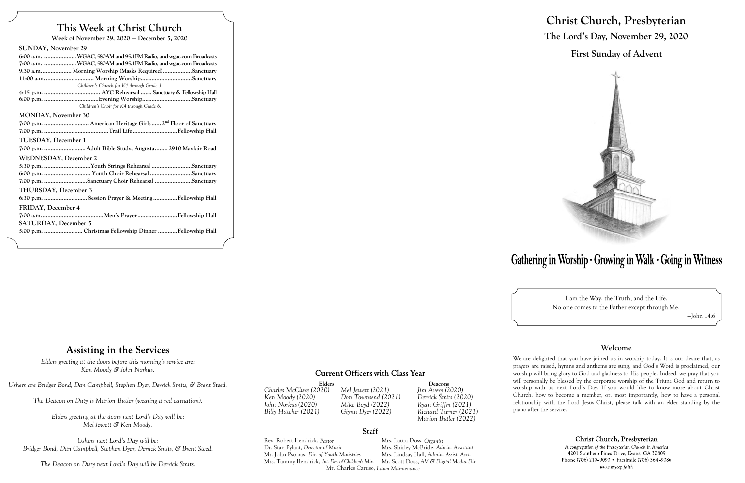## **This Week at Christ Church**

**Week of November 29, 2020 — December 5, 2020**

| <b>SUNDAY, November 29</b>                                       |
|------------------------------------------------------------------|
| 6:00 a.m.  WGAC, 580AM and 95.1FM Radio, and wgac.com Broadcasts |
| 7:00 a.m. WGAC, 580AM and 95.1FM Radio, and wgac.com Broadcasts  |
| 9:30 a.m Morning Worship (Masks Required)Sanctuary               |
|                                                                  |
| Children's Church for K4 through Grade 3.                        |
|                                                                  |
| Children's Choir for K4 through Grade 6.                         |
| <b>MONDAY, November 30</b>                                       |
|                                                                  |
|                                                                  |
| <b>TUESDAY, December 1</b>                                       |
|                                                                  |
| <b>WEDNESDAY, December 2</b>                                     |
| 5:30 p.m. Youth Strings Rehearsal Sanctuary                      |
| 6:00 p.m.  Youth Choir Rehearsal Sanctuary                       |
| 7:00 p.m. Sanctuary Choir Rehearsal Sanctuary                    |
| <b>THURSDAY, December 3</b>                                      |
| 6:30 p.m. Session Prayer & Meeting Fellowship Hall               |
| FRIDAY, December 4                                               |
|                                                                  |
| <b>SATURDAY, December 5</b>                                      |
| 5:00 p.m.  Christmas Fellowship Dinner Fellowship Hall           |
|                                                                  |

Elders<br>
O20) Mel Jewett (2021) Jim Avery (2020) *Charles McClure (2020) Mel Jewett (2021) Jim Avery (2020)*

### **Staff**



### **Assisting in the Services**

*Ken Moody (2020) Don Townsend (2021) Derrick Smits (2020) John Norkus (2020) Mike Boyd (2022) Ryan Griffin (2021)*

*Billy Hatcher (2021) Glynn Dyer (2022) Richard Turner (2021) Marion Butler (2022)*

Rev. Robert Hendrick, *Pastor* Mrs. Laura Doss, *Organist* Dr. Stan Pylant, *Director of Music* Mrs. Shirley McBride, *Admin. Assistant* Mr. John Psomas, *Dir. of Youth Ministries* Mrs. Tammy Hendrick, *Int. Dir. of Children's Min.* Mr. Scott Doss, *AV & Digital Media Dir.* Mr. Charles Caruso, *Lawn Maintenance*

# **Christ Church, Presbyterian The Lord's Day, November 29, 2020 First Sunday of Advent**



# Gathering in Worship · Growing in Walk · Going in Witness

I am the Way, the Truth, and the Life. No one comes to the Father except through Me.

—John 14:6

#### **Welcome**

We are delighted that you have joined us in worship today. It is our desire that, as prayers are raised, hymns and anthems are sung, and God's Word is proclaimed, our worship will bring glory to God and gladness to His people. Indeed, we pray that you will personally be blessed by the corporate worship of the Triune God and return to worship with us next Lord's Day. If you would like to know more about Christ Church, how to become a member, or, most importantly, how to have a personal relationship with the Lord Jesus Christ, please talk with an elder standing by the

Christ Church, Presbyterian

A congregation of the Presbyterian Church in America 4201 Southern Pines Drive, Evans, GA 30809 Phone (706) 210-9090 • Facsimile (706) 364-9086 www.myccp.faith

piano after the service.

*Elders greeting at the doors before this morning's service are: Ken Moody & John Norkus.*

*Ushers are Bridger Bond, Dan Campbell, Stephen Dyer, Derrick Smits, & Brent Steed.*

*The Deacon on Duty is Marion Butler (wearing a red carnation).*

*Elders greeting at the doors next Lord's Day will be: Mel Jewett & Ken Moody.*

*Ushers next Lord's Day will be: Bridger Bond, Dan Campbell, Stephen Dyer, Derrick Smits, & Brent Steed.*

*The Deacon on Duty next Lord's Day will be Derrick Smits.*

### **Current Officers with Class Year**